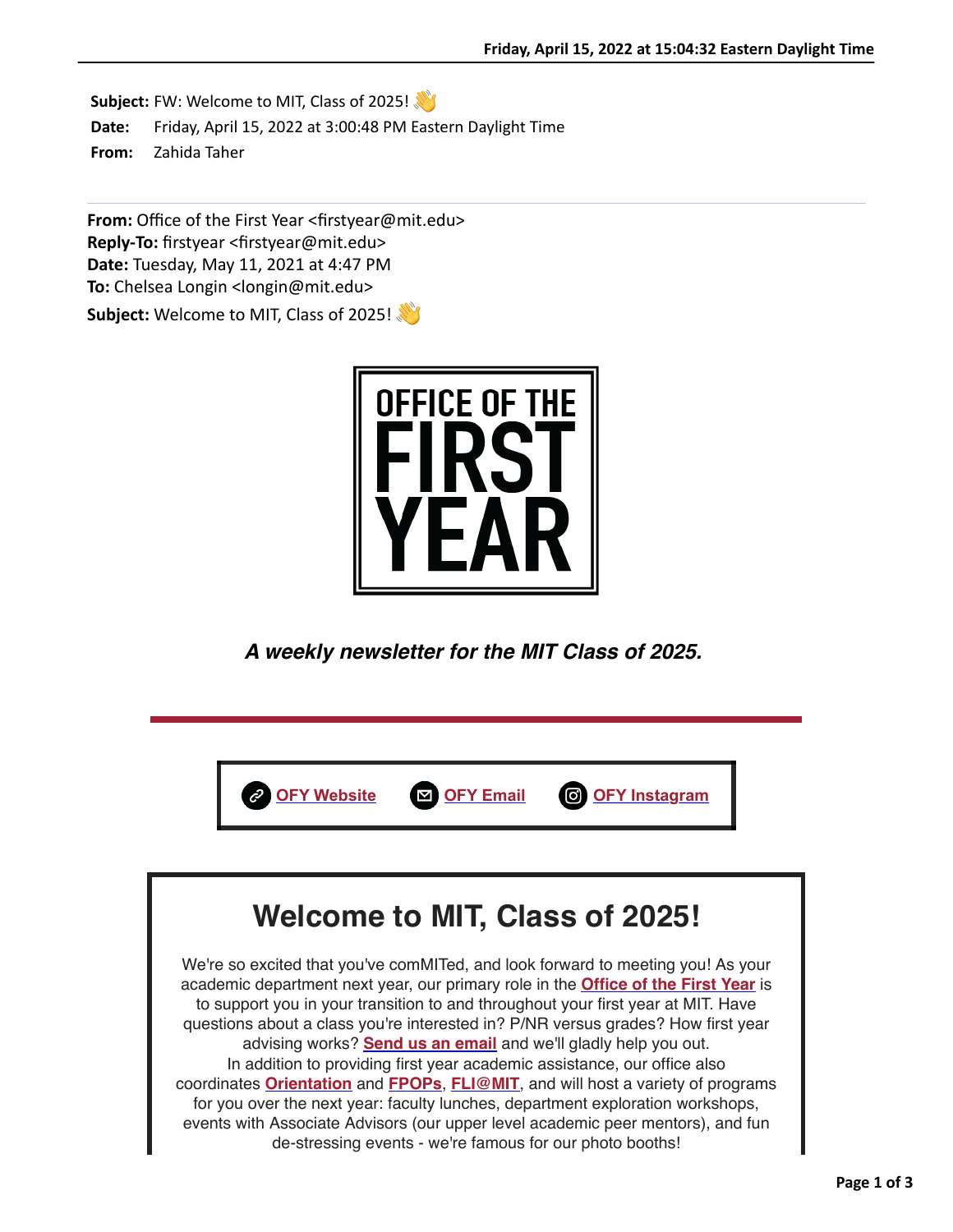**Subject:** FW: Welcome to MIT, Class of 2025! **Date:** Friday, April 15, 2022 at 3:00:48 PM Eastern Daylight Time **From:** Zahida Taher

**From:** Office of the First Year <firstyear@mit.edu> **Reply-To:** firstyear <firstyear@mit.edu> **Date:** Tuesday, May 11, 2021 at 4:47 PM **To:** Chelsea Longin <longin@mit.edu> **Subject:** Welcome to MIT, Class of 2025!



*A weekly newsletter for the MIT Class of 2025.*



## **Welcome to MIT, Class of 2025!**

We're so excited that you've comMITed, and look forward to meeting you! As your academic department next year, our primary role in the **[Office of the First Year](https://mit.us16.list-manage.com/track/click?u=88f983a0e3c2a43fb2a2eabd0&id=7db4784d68&e=23610e5afc)** is to support you in your transition to and throughout your first year at MIT. Have questions about a class you're interested in? P/NR versus grades? How first year advising works? **[Send us an email](mailto:firstyear@mit.edu)** and we'll gladly help you out. In addition to providing first year academic assistance, our office also coordinates **[Orientation](https://mit.us16.list-manage.com/track/click?u=88f983a0e3c2a43fb2a2eabd0&id=27383415d7&e=23610e5afc)** and **[FPOPs](https://mit.us16.list-manage.com/track/click?u=88f983a0e3c2a43fb2a2eabd0&id=c3533539a1&e=23610e5afc)**, **[FLI@MIT](https://mit.us16.list-manage.com/track/click?u=88f983a0e3c2a43fb2a2eabd0&id=16d2933a5c&e=23610e5afc)**, and will host a variety of programs for you over the next year: faculty lunches, department exploration workshops, events with Associate Advisors (our upper level academic peer mentors), and fun de-stressing events - we're famous for our photo booths!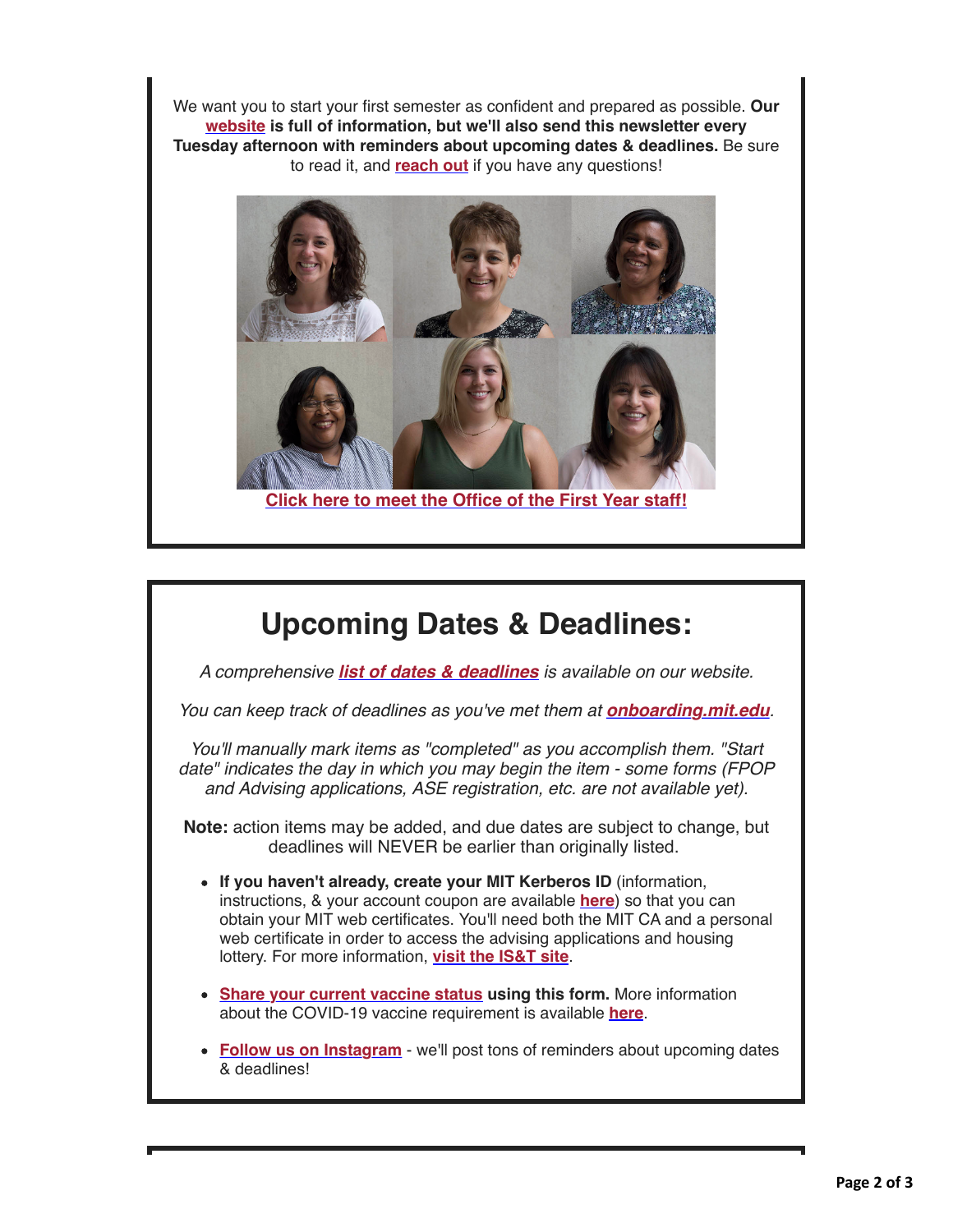We want you to start your first semester as confident and prepared as possible. **Our [website](https://mit.us16.list-manage.com/track/click?u=88f983a0e3c2a43fb2a2eabd0&id=3383903988&e=23610e5afc) is full of information, but we'll also send this newsletter every Tuesday afternoon with reminders about upcoming dates & deadlines.** Be sure to read it, and **[reach out](mailto:firstyear@mit.edu)** if you have any questions!



## **Upcoming Dates & Deadlines:**

*A comprehensive [list of dates & deadlines](https://mit.us16.list-manage.com/track/click?u=88f983a0e3c2a43fb2a2eabd0&id=ea184506fc&e=23610e5afc) is available on our website.*

*You can keep track of deadlines as you've met them at [onboarding.mit.edu](https://mit.us16.list-manage.com/track/click?u=88f983a0e3c2a43fb2a2eabd0&id=7c0dd7cad6&e=23610e5afc).*

*You'll manually mark items as "completed" as you accomplish them. "Start date" indicates the day in which you may begin the item - some forms (FPOP and Advising applications, ASE registration, etc. are not available yet).*

**Note:** action items may be added, and due dates are subject to change, but deadlines will NEVER be earlier than originally listed.

- **If you haven't already, create your MIT Kerberos ID** (information, instructions, & your account coupon are available **[here](https://mit.us16.list-manage.com/track/click?u=88f983a0e3c2a43fb2a2eabd0&id=9e82905303&e=23610e5afc)**) so that you can obtain your MIT web certificates. You'll need both the MIT CA and a personal web certificate in order to access the advising applications and housing lottery. For more information, **[visit the IS&T site](https://mit.us16.list-manage.com/track/click?u=88f983a0e3c2a43fb2a2eabd0&id=65ba70f98e&e=23610e5afc)**.
- **[Share your current vaccine status](https://mit.us16.list-manage.com/track/click?u=88f983a0e3c2a43fb2a2eabd0&id=f1fdcf734e&e=23610e5afc) using this form.** More information about the COVID-19 vaccine requirement is available **[here](https://mit.us16.list-manage.com/track/click?u=88f983a0e3c2a43fb2a2eabd0&id=a00994db07&e=23610e5afc)**.
- **[Follow us on Instagram](https://mit.us16.list-manage.com/track/click?u=88f983a0e3c2a43fb2a2eabd0&id=d88577be65&e=23610e5afc)** we'll post tons of reminders about upcoming dates & deadlines!